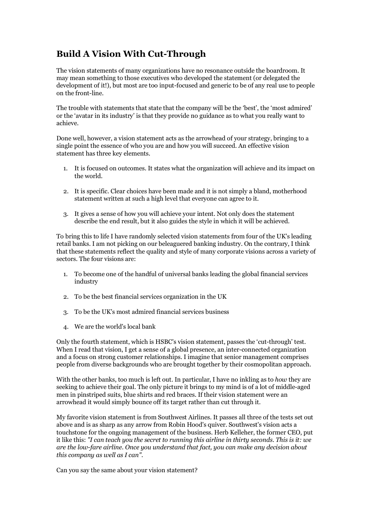## **Build A Vision With Cut-Through**

The vision statements of many organizations have no resonance outside the boardroom. It may mean something to those executives who developed the statement (or delegated the development of it!), but most are too input-focused and generic to be of any real use to people on the front-line.

The trouble with statements that state that the company will be the 'best', the 'most admired' or the 'avatar in its industry' is that they provide no guidance as to what you really want to achieve.

Done well, however, a vision statement acts as the arrowhead of your strategy, bringing to a single point the essence of who you are and how you will succeed. An effective vision statement has three key elements.

- 1. It is focused on outcomes. It states what the organization will achieve and its impact on the world.
- 2. It is specific. Clear choices have been made and it is not simply a bland, motherhood statement written at such a high level that everyone can agree to it.
- 3. It gives a sense of how you will achieve your intent. Not only does the statement describe the end result, but it also guides the style in which it will be achieved.

To bring this to life I have randomly selected vision statements from four of the UK's leading retail banks. I am not picking on our beleaguered banking industry. On the contrary, I think that these statements reflect the quality and style of many corporate visions across a variety of sectors. The four visions are:

- 1. To become one of the handful of universal banks leading the global financial services industry
- 2. To be the best financial services organization in the UK
- 3. To be the UK's most admired financial services business
- 4. We are the world's local bank

Only the fourth statement, which is HSBC's vision statement, passes the 'cut-through' test. When I read that vision. I get a sense of a global presence, an inter-connected organization and a focus on strong customer relationships. I imagine that senior management comprises people from diverse backgrounds who are brought together by their cosmopolitan approach.

With the other banks, too much is left out. In particular, I have no inkling as to *how* they are seeking to achieve their goal. The only picture it brings to my mind is of a lot of middle-aged men in pinstriped suits, blue shirts and red braces. If their vision statement were an arrowhead it would simply bounce off its target rather than cut through it.

My favorite vision statement is from Southwest Airlines. It passes all three of the tests set out above and is as sharp as any arrow from Robin Hood's quiver. Southwest's vision acts a touchstone for the ongoing management of the business. Herb Kelleher, the former CEO, put it like this: *"I can teach you the secret to running this airline in thirty seconds. This is it: we are the low-fare airline. Once you understand that fact, you can make any decision about this company as well as I can"*.

Can you say the same about your vision statement?